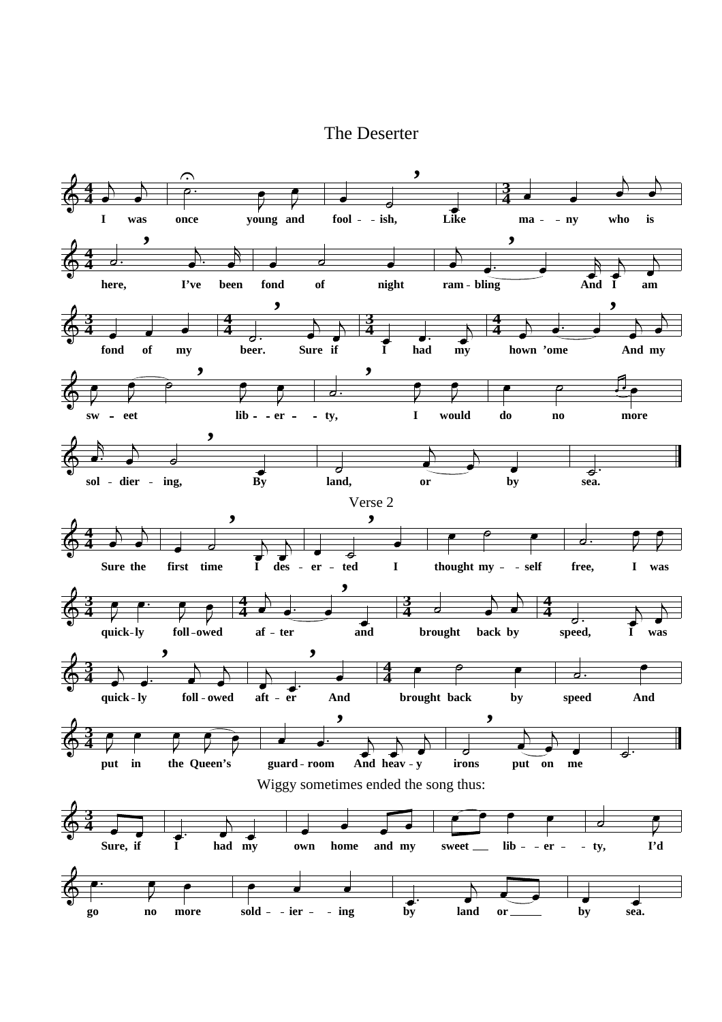